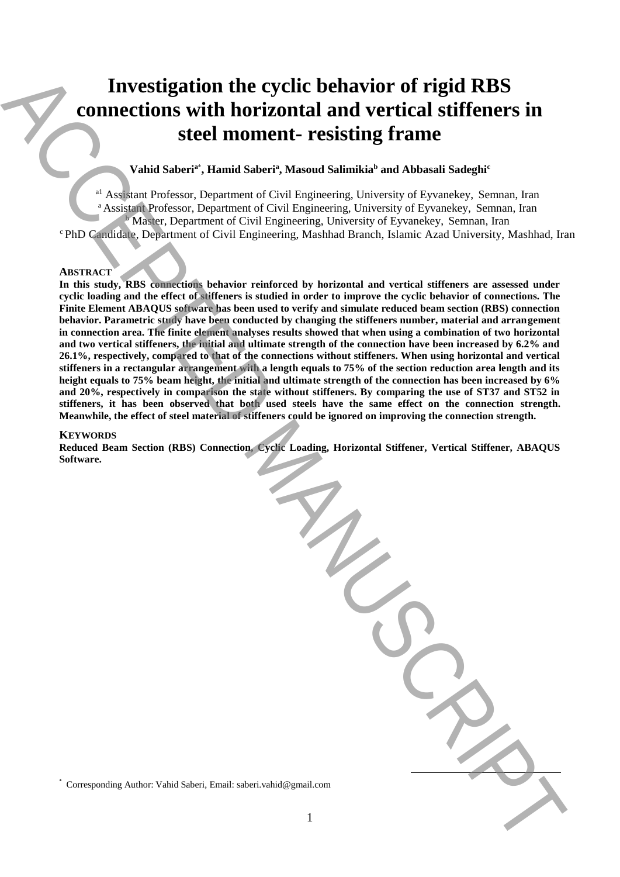# **Investigation the cyclic behavior of rigid RBS connections with horizontal and vertical stiffeners in steel moment- resisting frame**

# **Vahid Saberi<sup>a</sup>**\* **, Hamid Saberi<sup>a</sup> , Masoud Salimikia<sup>b</sup> and Abbasali Sadeghi<sup>c</sup>**

<sup>a1</sup> Assistant Professor, Department of Civil Engineering, University of Eyvanekey, Semnan, Iran <sup>a</sup> Assistant Professor, Department of Civil Engineering, University of Eyvanekey, Semnan, Iran Master, Department of Civil Engineering, University of Eyvanekey, Semnan, Iran <sup>c</sup>PhD Candidate, Department of Civil Engineering, Mashhad Branch, Islamic Azad University, Mashhad, Iran

## **ABSTRACT**

**In this study, RBS connections behavior reinforced by horizontal and vertical stiffeners are assessed under cyclic loading and the effect of stiffeners is studied in order to improve the cyclic behavior of connections. The Finite Element ABAQUS software has been used to verify and simulate reduced beam section (RBS) connection behavior. Parametric study have been conducted by changing the stiffeners number, material and arrangement in connection area. The finite element analyses results showed that when using a combination of two horizontal and two vertical stiffeners, the initial and ultimate strength of the connection have been increased by 6.2% and 26.1%, respectively, compared to that of the connections without stiffeners. When using horizontal and vertical stiffeners in a rectangular arrangement with a length equals to 75% of the section reduction area length and its height equals to 75% beam height, the initial and ultimate strength of the connection has been increased by 6% and 20%, respectively in comparison the state without stiffeners. By comparing the use of ST37 and ST52 in stiffeners, it has been observed that both used steels have the same effect on the connection strength. Meanwhile, the effect of steel material of stiffeners could be ignored on improving the connection strength.** Investigation the cyclic behavior of rigid RBS<br>
stone control in the relationship of the method and Neutrino and Neutrino and Neutrino and Neutrino and Neutrino and Neutrino and Neutrino and Neutrino and Neutrino and Neut

## **KEYWORDS**

**Reduced Beam Section (RBS) Connection, Cyclic Loading, Horizontal Stiffener, Vertical Stiffener, ABAQUS Software.**

1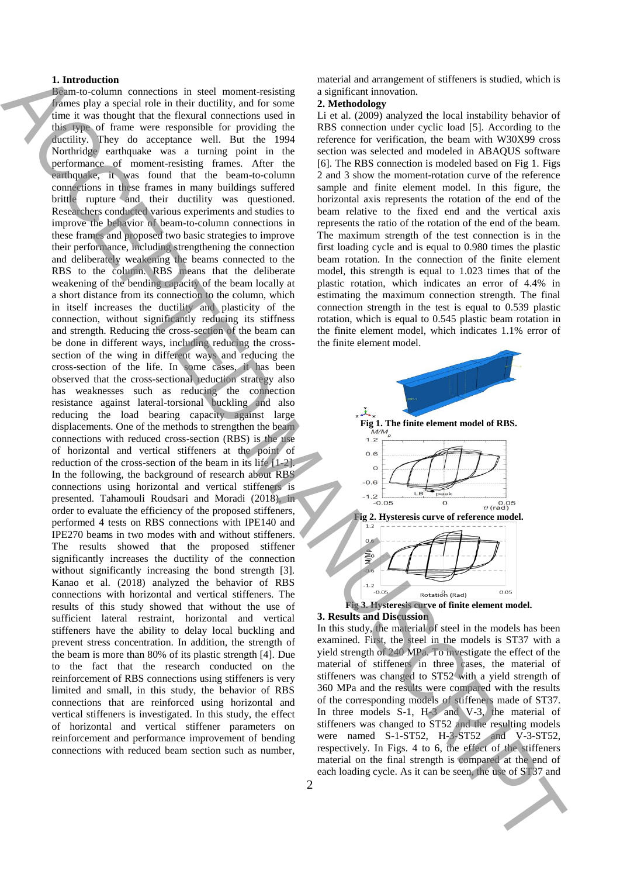#### **1. Introduction**

Beam-to-column connections in steel moment-resisting frames play a special role in their ductility, and for some time it was thought that the flexural connections used in this type of frame were responsible for providing the ductility. They do acceptance well. But the 1994 Northridge earthquake was a turning point in the performance of moment-resisting frames. After the earthquake, it was found that the beam-to-column connections in these frames in many buildings suffered brittle rupture and their ductility was questioned. Researchers conducted various experiments and studies to improve the behavior of beam-to-column connections in these frames and proposed two basic strategies to improve their performance, including strengthening the connection and deliberately weakening the beams connected to the RBS to the column. RBS means that the deliberate weakening of the bending capacity of the beam locally at a short distance from its connection to the column, which in itself increases the ductility and plasticity of the connection, without significantly reducing its stiffness and strength. Reducing the cross-section of the beam can be done in different ways, including reducing the crosssection of the wing in different ways and reducing the cross-section of the life. In some cases, it has been observed that the cross-sectional reduction strategy also has weaknesses such as reducing the connection resistance against lateral-torsional buckling and also reducing the load bearing capacity against large displacements. One of the methods to strengthen the beam connections with reduced cross-section (RBS) is the use of horizontal and vertical stiffeners at the point of reduction of the cross-section of the beam in its life [1-2]. In the following, the background of research about RBS connections using horizontal and vertical stiffeners is presented. Tahamouli Roudsari and Moradi (2018), in order to evaluate the efficiency of the proposed stiffeners, performed 4 tests on RBS connections with IPE140 and IPE270 beams in two modes with and without stiffeners. The results showed that the proposed stiffener significantly increases the ductility of the connection without significantly increasing the bond strength [3]. Kanao et al. (2018) analyzed the behavior of RBS connections with horizontal and vertical stiffeners. The results of this study showed that without the use of sufficient lateral restraint, horizontal and vertical stiffeners have the ability to delay local buckling and prevent stress concentration. In addition, the strength of the beam is more than 80% of its plastic strength [4]. Due to the fact that the research conducted on the reinforcement of RBS connections using stiffeners is very limited and small, in this study, the behavior of RBS connections that are reinforced using horizontal and vertical stiffeners is investigated. In this study, the effect of horizontal and vertical stiffener parameters on reinforcement and performance improvement of bending connections with reduced beam section such as number, **Example 2.** As in the seen of the use of the use of the use of the use of the use of the use of the use of the use of the use of the use of the use of the use of the use of the use of the use of the use of the use of the

material and arrangement of stiffeners is studied, which is a significant innovation.

# **2. Methodology**

Li et al. (2009) analyzed the local instability behavior of RBS connection under cyclic load [5]. According to the reference for verification, the beam with W30X99 cross section was selected and modeled in ABAQUS software [6]. The RBS connection is modeled based on Fig 1. Figs 2 and 3 show the moment-rotation curve of the reference sample and finite element model. In this figure, the horizontal axis represents the rotation of the end of the beam relative to the fixed end and the vertical axis represents the ratio of the rotation of the end of the beam. The maximum strength of the test connection is in the first loading cycle and is equal to 0.980 times the plastic beam rotation. In the connection of the finite element model, this strength is equal to 1.023 times that of the plastic rotation, which indicates an error of 4.4% in estimating the maximum connection strength. The final connection strength in the test is equal to 0.539 plastic rotation, which is equal to 0.545 plastic beam rotation in the finite element model, which indicates 1.1% error of the finite element model.



**Fig 3. Hysteresis curve of finite element model. 3. Results and Discussion**

In this study, the material of steel in the models has been examined. First, the steel in the models is ST37 with a yield strength of 240 MPa. To investigate the effect of the material of stiffeners in three cases, the material of stiffeners was changed to ST52 with a yield strength of 360 MPa and the results were compared with the results of the corresponding models of stiffeners made of ST37. In three models S-1, H-3 and V-3, the material of stiffeners was changed to ST52 and the resulting models were named S-1-ST52, H-3-ST52 and V-3-ST52, respectively. In Figs. 4 to 6, the effect of the stiffeners material on the final strength is compared at the end of